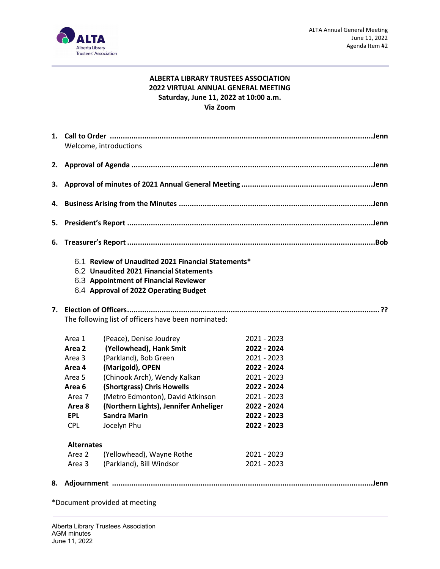

#### **ALBERTA LIBRARY TRUSTEES ASSOCIATION 2022 VIRTUAL ANNUAL GENERAL MEETING Saturday, June 11, 2022 at 10:00 a.m. Via Zoom**

|    | Welcome, introductions                                                                                                                                                          |                                                     |             |  |  |  |  |
|----|---------------------------------------------------------------------------------------------------------------------------------------------------------------------------------|-----------------------------------------------------|-------------|--|--|--|--|
|    |                                                                                                                                                                                 |                                                     |             |  |  |  |  |
| з. |                                                                                                                                                                                 |                                                     |             |  |  |  |  |
| 4. |                                                                                                                                                                                 |                                                     |             |  |  |  |  |
| 5. |                                                                                                                                                                                 |                                                     |             |  |  |  |  |
| 6. |                                                                                                                                                                                 |                                                     |             |  |  |  |  |
|    | 6.1 Review of Unaudited 2021 Financial Statements*<br>6.2 Unaudited 2021 Financial Statements<br>6.3 Appointment of Financial Reviewer<br>6.4 Approval of 2022 Operating Budget |                                                     |             |  |  |  |  |
|    |                                                                                                                                                                                 |                                                     |             |  |  |  |  |
|    |                                                                                                                                                                                 | The following list of officers have been nominated: |             |  |  |  |  |
|    | Area 1                                                                                                                                                                          | (Peace), Denise Joudrey                             | 2021 - 2023 |  |  |  |  |
|    | Area 2                                                                                                                                                                          | (Yellowhead), Hank Smit                             | 2022 - 2024 |  |  |  |  |
|    | Area 3                                                                                                                                                                          | (Parkland), Bob Green                               | 2021 - 2023 |  |  |  |  |
|    | Area 4                                                                                                                                                                          | (Marigold), OPEN                                    | 2022 - 2024 |  |  |  |  |
|    | Area 5                                                                                                                                                                          | (Chinook Arch), Wendy Kalkan                        | 2021 - 2023 |  |  |  |  |
|    | Area 6                                                                                                                                                                          | (Shortgrass) Chris Howells                          | 2022 - 2024 |  |  |  |  |
|    | Area 7                                                                                                                                                                          | (Metro Edmonton), David Atkinson                    | 2021 - 2023 |  |  |  |  |
|    | Area 8                                                                                                                                                                          | (Northern Lights), Jennifer Anheliger               | 2022 - 2024 |  |  |  |  |
|    | <b>EPL</b>                                                                                                                                                                      | <b>Sandra Marin</b>                                 | 2022 - 2023 |  |  |  |  |
|    | <b>CPL</b>                                                                                                                                                                      | Jocelyn Phu                                         | 2022 - 2023 |  |  |  |  |
|    | <b>Alternates</b>                                                                                                                                                               |                                                     |             |  |  |  |  |
|    | Area 2                                                                                                                                                                          | (Yellowhead), Wayne Rothe                           | 2021 - 2023 |  |  |  |  |
|    | Area 3                                                                                                                                                                          | (Parkland), Bill Windsor                            | 2021 - 2023 |  |  |  |  |
| 8. |                                                                                                                                                                                 |                                                     |             |  |  |  |  |

\*Document provided at meeting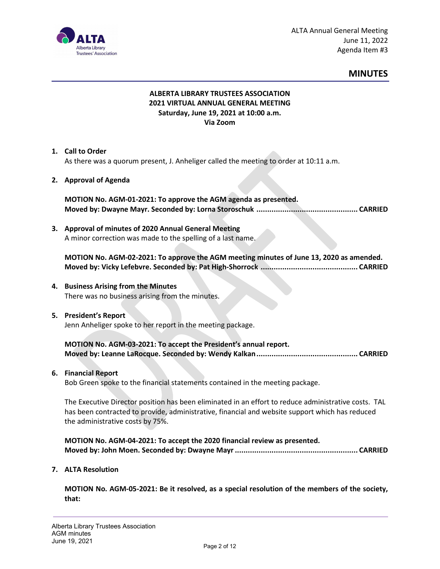

#### **MINUTES**

#### **ALBERTA LIBRARY TRUSTEES ASSOCIATION 2021 VIRTUAL ANNUAL GENERAL MEETING Saturday, June 19, 2021 at 10:00 a.m. Via Zoom**

#### **1. Call to Order**

As there was a quorum present, J. Anheliger called the meeting to order at 10:11 a.m.

#### **2. Approval of Agenda**

**MOTION No. AGM-01-2021: To approve the AGM agenda as presented. Moved by: Dwayne Mayr. Seconded by: Lorna Storoschuk ............................................... CARRIED**

# **3. Approval of minutes of 2020 Annual General Meeting**

A minor correction was made to the spelling of a last name.

**MOTION No. AGM-02-2021: To approve the AGM meeting minutes of June 13, 2020 as amended. Moved by: Vicky Lefebvre. Seconded by: Pat High-Shorrock ............................................. CARRIED**

**4. Business Arising from the Minutes** There was no business arising from the minutes.

#### **5. President's Report**

Jenn Anheliger spoke to her report in the meeting package.

**MOTION No. AGM-03-2021: To accept the President's annual report. Moved by: Leanne LaRocque. Seconded by: Wendy Kalkan............................................... CARRIED**

#### **6. Financial Report**

Bob Green spoke to the financial statements contained in the meeting package.

The Executive Director position has been eliminated in an effort to reduce administrative costs. TAL has been contracted to provide, administrative, financial and website support which has reduced the administrative costs by 75%.

**MOTION No. AGM-04-2021: To accept the 2020 financial review as presented. Moved by: John Moen. Seconded by: Dwayne Mayr......................................................... CARRIED**

#### **7. ALTA Resolution**

**MOTION No. AGM-05-2021: Be it resolved, as a special resolution of the members of the society, that:**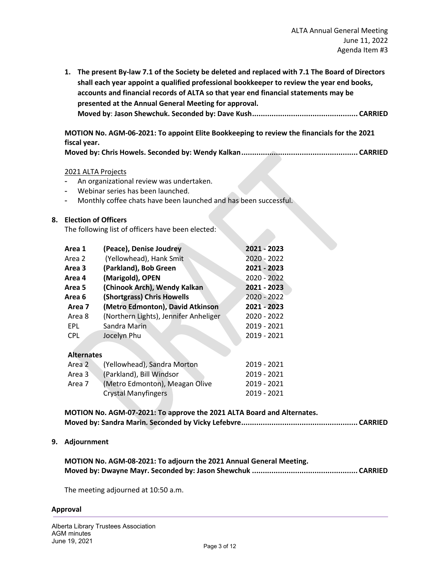**1. The present By-law 7.1 of the Society be deleted and replaced with 7.1 The Board of Directors shall each year appoint a qualified professional bookkeeper to review the year end books, accounts and financial records of ALTA so that year end financial statements may be presented at the Annual General Meeting for approval. Moved by**: **Jason Shewchuk. Seconded by: Dave Kush................................................. CARRIED**

**MOTION No. AGM-06-2021: To appoint Elite Bookkeeping to review the financials for the 2021 fiscal year.**

**Moved by: Chris Howels. Seconded by: Wendy Kalkan...................................................... CARRIED**

#### 2021 ALTA Projects

- An organizational review was undertaken.
- Webinar series has been launched.
- Monthly coffee chats have been launched and has been successful.

#### **8. Election of Officers**

The following list of officers have been elected:

| Area 1            | (Peace), Denise Joudrey               | 2021 - 2023 |
|-------------------|---------------------------------------|-------------|
| Area 2            | (Yellowhead), Hank Smit               | 2020 - 2022 |
| Area 3            | (Parkland), Bob Green                 | 2021 - 2023 |
| Area 4            | (Marigold), OPEN                      | 2020 - 2022 |
| Area 5            | (Chinook Arch), Wendy Kalkan          | 2021 - 2023 |
| Area 6            | (Shortgrass) Chris Howells            | 2020 - 2022 |
| Area 7            | (Metro Edmonton), David Atkinson      | 2021 - 2023 |
| Area 8            | (Northern Lights), Jennifer Anheliger | 2020 - 2022 |
| EPL               | Sandra Marin                          | 2019 - 2021 |
| <b>CPL</b>        | Jocelyn Phu                           | 2019 - 2021 |
|                   |                                       |             |
| <b>Alternates</b> |                                       |             |
| Area 2            | (Yellowhead) Sandra Morton            | 2019 - 2021 |

| Area 2 | (Yellowhead), Sandra Morton    | 2019 - 2021 |
|--------|--------------------------------|-------------|
| Area 3 | (Parkland), Bill Windsor       | 2019 - 2021 |
| Area 7 | (Metro Edmonton), Meagan Olive | 2019 - 2021 |
|        | <b>Crystal Manyfingers</b>     | 2019 - 2021 |
|        |                                |             |

**MOTION No. AGM-07-2021: To approve the 2021 ALTA Board and Alternates. Moved by: Sandra Marin. Seconded by Vicky Lefebvre...................................................... CARRIED**

#### **9. Adjournment**

| MOTION No. AGM-08-2021: To adjourn the 2021 Annual General Meeting. |  |
|---------------------------------------------------------------------|--|
|                                                                     |  |

The meeting adjourned at 10:50 a.m.

#### **Approval**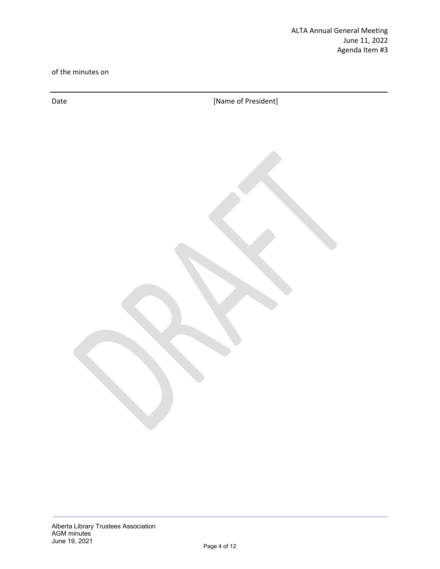of the minutes on

Date **Date Example 20 CONFIDENTIFY CONFIDENTIFY CONFIDENTIFY CONFIDENTIFY CONFIDENTIFY CONFIDENTIFY**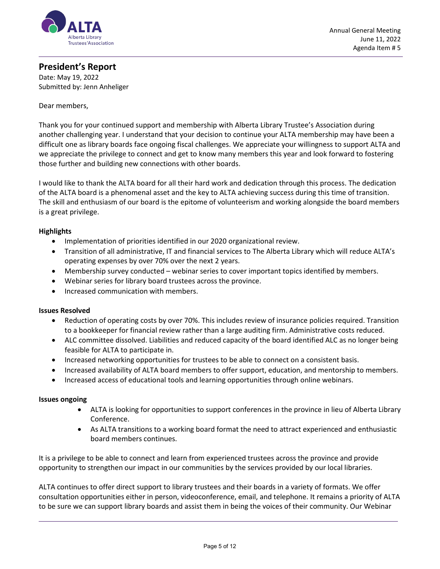

#### **President's Report**

Date: May 19, 2022 Submitted by: Jenn Anheliger

#### Dear members,

Thank you for your continued support and membership with Alberta Library Trustee's Association during another challenging year. I understand that your decision to continue your ALTA membership may have been a difficult one as library boards face ongoing fiscal challenges. We appreciate your willingness to support ALTA and we appreciate the privilege to connect and get to know many members this year and look forward to fostering those further and building new connections with other boards.

I would like to thank the ALTA board for all their hard work and dedication through this process. The dedication of the ALTA board is a phenomenal asset and the key to ALTA achieving success during this time of transition. The skill and enthusiasm of our board is the epitome of volunteerism and working alongside the board members is a great privilege.

#### **Highlights**

- Implementation of priorities identified in our 2020 organizational review.
- Transition of all administrative, IT and financial services to The Alberta Library which will reduce ALTA's operating expenses by over 70% over the next 2 years.
- Membership survey conducted webinar series to cover important topics identified by members.
- Webinar series for library board trustees across the province.
- Increased communication with members.

#### **Issues Resolved**

- Reduction of operating costs by over 70%. This includes review of insurance policies required. Transition to a bookkeeper for financial review rather than a large auditing firm. Administrative costs reduced.
- ALC committee dissolved. Liabilities and reduced capacity of the board identified ALC as no longer being feasible for ALTA to participate in.
- Increased networking opportunities for trustees to be able to connect on a consistent basis.
- Increased availability of ALTA board members to offer support, education, and mentorship to members.
- Increased access of educational tools and learning opportunities through online webinars.

#### **Issues ongoing**

- ALTA is looking for opportunities to support conferences in the province in lieu of Alberta Library Conference.
- As ALTA transitions to a working board format the need to attract experienced and enthusiastic board members continues.

It is a privilege to be able to connect and learn from experienced trustees across the province and provide opportunity to strengthen our impact in our communities by the services provided by our local libraries.

ALTA continues to offer direct support to library trustees and their boards in a variety of formats. We offer consultation opportunities either in person, videoconference, email, and telephone. It remains a priority of ALTA to be sure we can support library boards and assist them in being the voices of their community. Our Webinar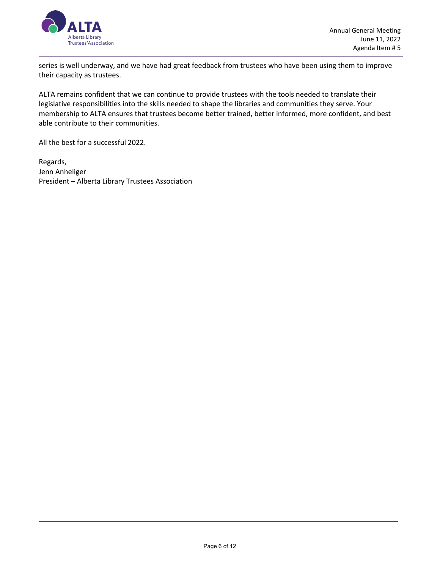

series is well underway, and we have had great feedback from trustees who have been using them to improve their capacity as trustees.

ALTA remains confident that we can continue to provide trustees with the tools needed to translate their legislative responsibilities into the skills needed to shape the libraries and communities they serve. Your membership to ALTA ensures that trustees become better trained, better informed, more confident, and best able contribute to their communities.

All the best for a successful 2022.

Regards, Jenn Anheliger President – Alberta Library Trustees Association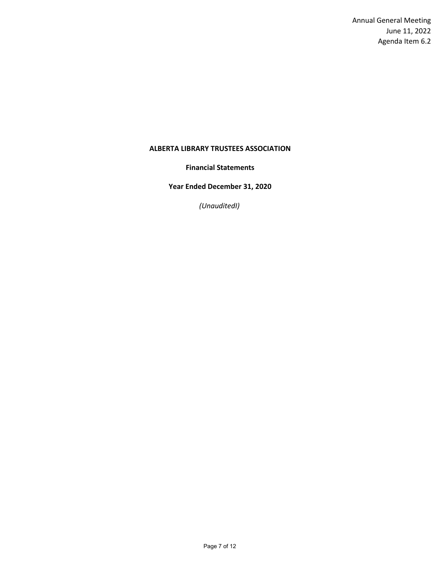Annual General Meeting June 11, 2022 Agenda Item 6.2

#### **ALBERTA LIBRARY TRUSTEES ASSOCIATION**

**Financial Statements**

**Year Ended December 31, 2020**

*(UnauditedI)*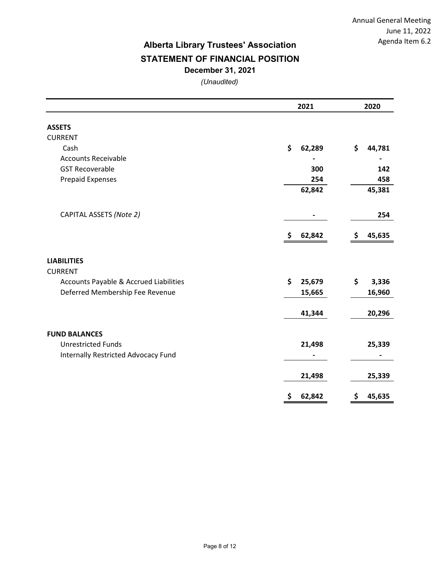Annual General Meeting June 11, 2022 Agenda Item 6.2

### **Alberta Library Trustees' Association December 31, 2021 STATEMENT OF FINANCIAL POSITION**

*(Unaudited)*

|                                            | 2021         | 2020         |  |  |
|--------------------------------------------|--------------|--------------|--|--|
| <b>ASSETS</b>                              |              |              |  |  |
| <b>CURRENT</b>                             |              |              |  |  |
| Cash                                       | \$<br>62,289 | \$<br>44,781 |  |  |
| <b>Accounts Receivable</b>                 |              |              |  |  |
| <b>GST Recoverable</b>                     | 300          | 142          |  |  |
| <b>Prepaid Expenses</b>                    | 254          | 458          |  |  |
|                                            | 62,842       | 45,381       |  |  |
| CAPITAL ASSETS (Note 2)                    |              | 254          |  |  |
|                                            | 62,842<br>\$ | 45,635<br>\$ |  |  |
| <b>LIABILITIES</b><br><b>CURRENT</b>       |              |              |  |  |
| Accounts Payable & Accrued Liabilities     | \$<br>25,679 | \$<br>3,336  |  |  |
| Deferred Membership Fee Revenue            | 15,665       | 16,960       |  |  |
|                                            | 41,344       | 20,296       |  |  |
| <b>FUND BALANCES</b>                       |              |              |  |  |
| <b>Unrestricted Funds</b>                  | 21,498       | 25,339       |  |  |
| <b>Internally Restricted Advocacy Fund</b> |              |              |  |  |
|                                            | 21,498       | 25,339       |  |  |
|                                            | \$<br>62,842 | \$<br>45,635 |  |  |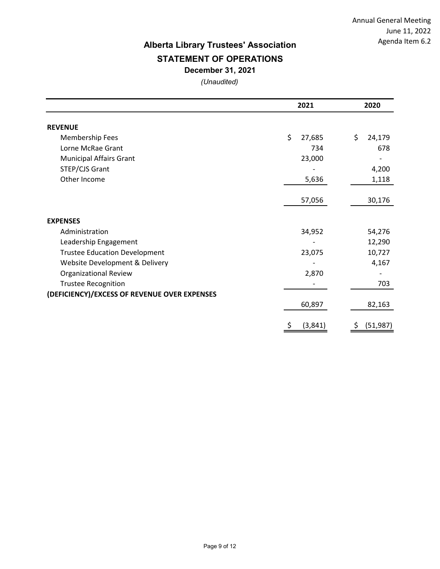Annual General Meeting June 11, 2022 Agenda Item 6.2

# **Alberta Library Trustees' Association**

## **STATEMENT OF OPERATIONS**

**December 31, 2021**

*(Unaudited)*

|                                              | 2021          | 2020            |  |
|----------------------------------------------|---------------|-----------------|--|
| <b>REVENUE</b>                               |               |                 |  |
| Membership Fees                              | \$<br>27,685  | \$<br>24,179    |  |
| Lorne McRae Grant                            | 734           | 678             |  |
| <b>Municipal Affairs Grant</b>               | 23,000        |                 |  |
| STEP/CJS Grant                               |               | 4,200           |  |
| Other Income                                 | 5,636         | 1,118           |  |
|                                              |               |                 |  |
|                                              | 57,056        | 30,176          |  |
| <b>EXPENSES</b>                              |               |                 |  |
| Administration                               | 34,952        | 54,276          |  |
| Leadership Engagement                        |               | 12,290          |  |
| <b>Trustee Education Development</b>         | 23,075        | 10,727          |  |
| Website Development & Delivery               |               | 4,167           |  |
| <b>Organizational Review</b>                 | 2,870         |                 |  |
| <b>Trustee Recognition</b>                   |               | 703             |  |
| (DEFICIENCY)/EXCESS OF REVENUE OVER EXPENSES |               |                 |  |
|                                              | 60,897        | 82,163          |  |
|                                              | \$<br>(3,841) | \$<br>(51, 987) |  |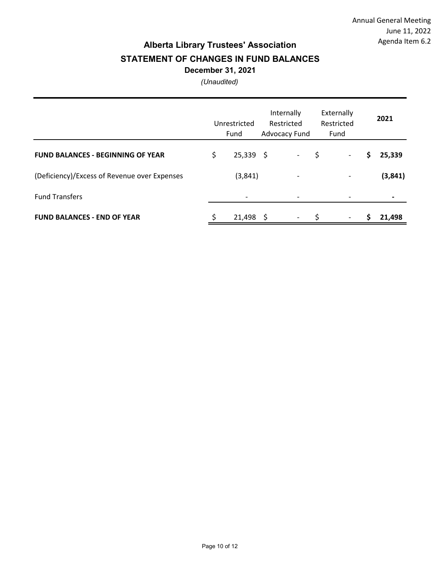### **Alberta Library Trustees' Association STATEMENT OF CHANGES IN FUND BALANCES December 31, 2021**

*(Unaudited)*

|                                              |    | Unrestricted<br>Fund     |   | Internally<br>Restricted<br>Advocacy Fund | Externally<br>Restricted<br>Fund |   | 2021     |
|----------------------------------------------|----|--------------------------|---|-------------------------------------------|----------------------------------|---|----------|
| <b>FUND BALANCES - BEGINNING OF YEAR</b>     | \$ | $25,339$ \$              |   | $\sim$                                    | \$<br>$\overline{\phantom{a}}$   | S | 25,339   |
| (Deficiency)/Excess of Revenue over Expenses |    | (3, 841)                 |   |                                           | $\qquad \qquad \blacksquare$     |   | (3, 841) |
| <b>Fund Transfers</b>                        |    | $\overline{\phantom{0}}$ |   |                                           |                                  |   |          |
| <b>FUND BALANCES - END OF YEAR</b>           | S  | 21,498                   | S |                                           |                                  | s | 21.498   |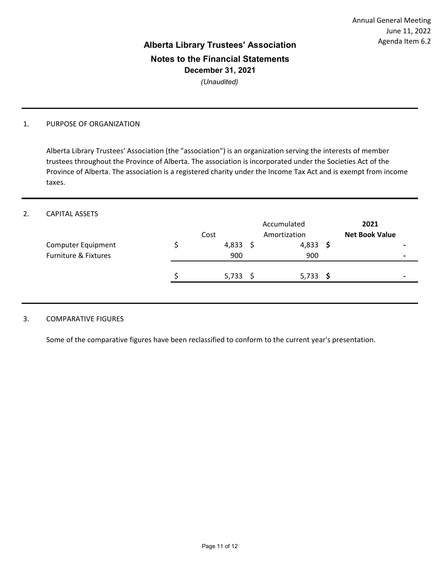# **Alberta Library Trustees' Association Notes to the Financial Statements December 31, 2021**

*(Unaudited)*

#### 1. PURPOSE OF ORGANIZATION

Alberta Library Trustees' Association (the "association") is an organization serving the interests of member trustees throughout the Province of Alberta. The association is incorporated under the Societies Act of the Province of Alberta. The association is a registered charity under the Income Tax Act and is exempt from income taxes.

#### 2. CAPITAL ASSETS

|                                                       | Cost         |    | Accumulated<br>Amortization |     | 2021<br><b>Net Book Value</b> |
|-------------------------------------------------------|--------------|----|-----------------------------|-----|-------------------------------|
| Computer Equipment<br><b>Furniture &amp; Fixtures</b> | 4,833<br>900 |    | 4,833<br>900                | - S |                               |
|                                                       | 5,733        | -S | 5,733                       | - S |                               |

#### 3. COMPARATIVE FIGURES

Some of the comparative figures have been reclassified to conform to the current year's presentation.